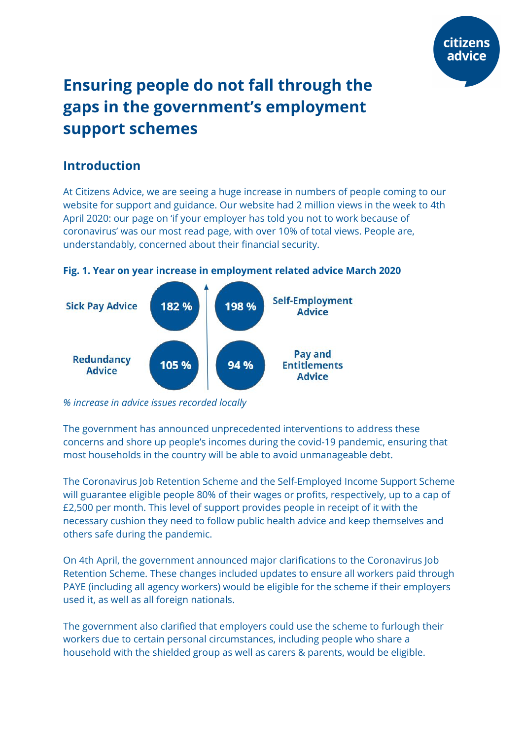

# **Ensuring people do not fall through the gaps in the government's employment support schemes**

## **Introduction**

At Citizens Advice, we are seeing a huge increase in numbers of people coming to our website for support and guidance. Our website had 2 million views in the week to 4th April 2020: our page on 'if your employer has told you not to work because of coronavirus' was our most read page, with over 10% of total views. People are, understandably, concerned about their financial security.

#### **Fig. 1. Year on year increase in employment related advice March 2020**



*% increase in advice issues recorded locally*

The government has announced unprecedented interventions to address these concerns and shore up people's incomes during the covid-19 pandemic, ensuring that most households in the country will be able to avoid unmanageable debt.

The Coronavirus Job Retention Scheme and the Self-Employed Income Support Scheme will guarantee eligible people 80% of their wages or profits, respectively, up to a cap of £2,500 per month. This level of support provides people in receipt of it with the necessary cushion they need to follow public health advice and keep themselves and others safe during the pandemic.

On 4th April, the government announced major clarifications to the Coronavirus Job Retention Scheme. These changes included updates to ensure all workers paid through PAYE (including all agency workers) would be eligible for the scheme if their employers used it, as well as all foreign nationals.

The government also clarified that employers could use the scheme to furlough their workers due to certain personal circumstances, including people who share a household with the shielded group as well as carers & parents, would be eligible.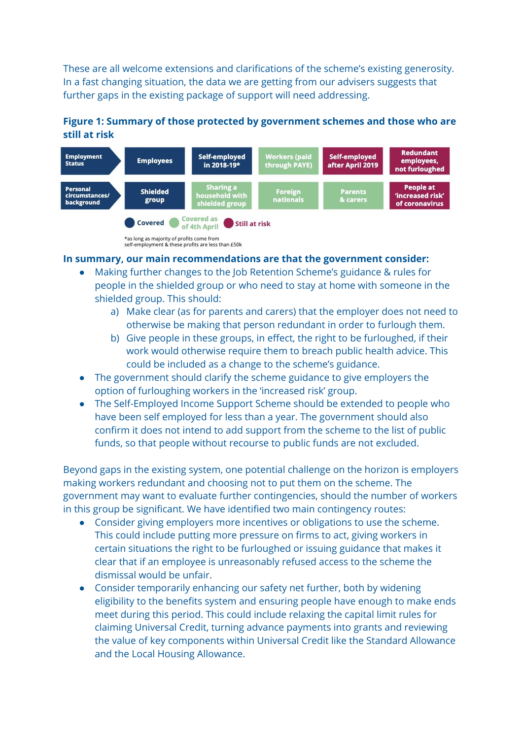These are all welcome extensions and clarifications of the scheme's existing generosity. In a fast changing situation, the data we are getting from our advisers suggests that further gaps in the existing package of support will need addressing.

#### **Figure 1: Summary of those protected by government schemes and those who are still at risk**



self-employment & these profits are less than £50k

#### **In summary, our main recommendations are that the government consider:**

- Making further changes to the Job Retention Scheme's guidance & rules for people in the shielded group or who need to stay at home with someone in the shielded group. This should:
	- a) Make clear (as for parents and carers) that the employer does not need to otherwise be making that person redundant in order to furlough them.
	- b) Give people in these groups, in effect, the right to be furloughed, if their work would otherwise require them to breach public health advice. This could be included as a change to the scheme's guidance.
- The government should clarify the scheme guidance to give employers the option of furloughing workers in the 'increased risk' group.
- The Self-Employed Income Support Scheme should be extended to people who have been self employed for less than a year. The government should also confirm it does not intend to add support from the scheme to the list of public funds, so that people without recourse to public funds are not excluded.

Beyond gaps in the existing system, one potential challenge on the horizon is employers making workers redundant and choosing not to put them on the scheme. The government may want to evaluate further contingencies, should the number of workers in this group be significant. We have identified two main contingency routes:

- Consider giving employers more incentives or obligations to use the scheme. This could include putting more pressure on firms to act, giving workers in certain situations the right to be furloughed or issuing guidance that makes it clear that if an employee is unreasonably refused access to the scheme the dismissal would be unfair.
- Consider temporarily enhancing our safety net further, both by widening eligibility to the benefits system and ensuring people have enough to make ends meet during this period. This could include relaxing the capital limit rules for claiming Universal Credit, turning advance payments into grants and reviewing the value of key components within Universal Credit like the Standard Allowance and the Local Housing Allowance.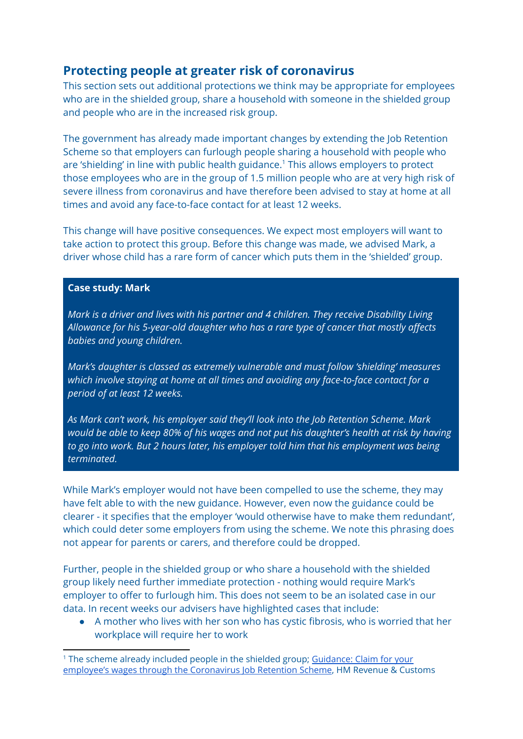## **Protecting people at greater risk of coronavirus**

This section sets out additional protections we think may be appropriate for employees who are in the shielded group, share a household with someone in the shielded group and people who are in the increased risk group.

The government has already made important changes by extending the Job Retention Scheme so that employers can furlough people sharing a household with people who are 'shielding' in line with public health guidance.<sup>1</sup> This allows employers to protect those employees who are in the group of 1.5 million people who are at very high risk of severe illness from coronavirus and have therefore been advised to stay at home at all times and avoid any face-to-face contact for at least 12 weeks.

This change will have positive consequences. We expect most employers will want to take action to protect this group. Before this change was made, we advised Mark, a driver whose child has a rare form of cancer which puts them in the 'shielded' group.

#### **Case study: Mark**

*Mark is a driver and lives with his partner and 4 children. They receive Disability Living Allowance for his 5-year-old daughter who has a rare type of cancer that mostly affects babies and young children.*

*Mark's daughter is classed as extremely vulnerable and must follow 'shielding' measures which involve staying at home at all times and avoiding any face-to-face contact for a period of at least 12 weeks.*

*As Mark can't work, his employer said they'll look into the Job Retention Scheme. Mark would be able to keep 80% of his wages and not put his daughter's health at risk by having to go into work. But 2 hours later, his employer told him that his employment was being terminated.*

While Mark's employer would not have been compelled to use the scheme, they may have felt able to with the new guidance. However, even now the guidance could be clearer - it specifies that the employer 'would otherwise have to make them redundant', which could deter some employers from using the scheme. We note this phrasing does not appear for parents or carers, and therefore could be dropped.

Further, people in the shielded group or who share a household with the shielded group likely need further immediate protection - nothing would require Mark's employer to offer to furlough him. This does not seem to be an isolated case in our data. In recent weeks our advisers have highlighted cases that include:

● A mother who lives with her son who has cystic fibrosis, who is worried that her workplace will require her to work

<sup>&</sup>lt;sup>1</sup> The scheme already included people in the shielded group; [Guidance:](https://www.gov.uk/guidance/claim-for-wage-costs-through-the-coronavirus-job-retention-scheme) Claim for your employee's wages through the [Coronavirus](https://www.gov.uk/guidance/claim-for-wage-costs-through-the-coronavirus-job-retention-scheme) Job Retention Scheme, HM Revenue & Customs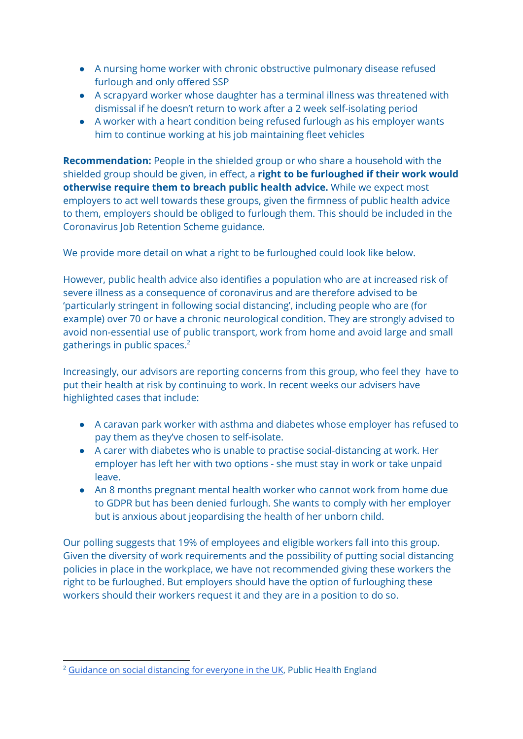- A nursing home worker with chronic obstructive pulmonary disease refused furlough and only offered SSP
- A scrapyard worker whose daughter has a terminal illness was threatened with dismissal if he doesn't return to work after a 2 week self-isolating period
- A worker with a heart condition being refused furlough as his employer wants him to continue working at his job maintaining fleet vehicles

**Recommendation:** People in the shielded group or who share a household with the shielded group should be given, in effect, a **right to be furloughed if their work would otherwise require them to breach public health advice.** While we expect most employers to act well towards these groups, given the firmness of public health advice to them, employers should be obliged to furlough them. This should be included in the Coronavirus Job Retention Scheme guidance.

We provide more detail on what a right to be furloughed could look like below.

However, public health advice also identifies a population who are at increased risk of severe illness as a consequence of coronavirus and are therefore advised to be 'particularly stringent in following social distancing', including people who are (for example) over 70 or have a chronic neurological condition. They are strongly advised to avoid non-essential use of public transport, work from home and avoid large and small gatherings in public spaces. 2

Increasingly, our advisors are reporting concerns from this group, who feel they have to put their health at risk by continuing to work. In recent weeks our advisers have highlighted cases that include:

- A caravan park worker with asthma and diabetes whose employer has refused to pay them as they've chosen to self-isolate.
- A carer with diabetes who is unable to practise social-distancing at work. Her employer has left her with two options - she must stay in work or take unpaid leave.
- An 8 months pregnant mental health worker who cannot work from home due to GDPR but has been denied furlough. She wants to comply with her employer but is anxious about jeopardising the health of her unborn child.

Our polling suggests that 19% of employees and eligible workers fall into this group. Given the diversity of work requirements and the possibility of putting social distancing policies in place in the workplace, we have not recommended giving these workers the right to be furloughed. But employers should have the option of furloughing these workers should their workers request it and they are in a position to do so.

<sup>&</sup>lt;sup>2</sup> Guidance on social [distancing](https://www.gov.uk/government/publications/covid-19-guidance-on-social-distancing-and-for-vulnerable-people/guidance-on-social-distancing-for-everyone-in-the-uk-and-protecting-older-people-and-vulnerable-adults) for everyone in the UK, Public Health England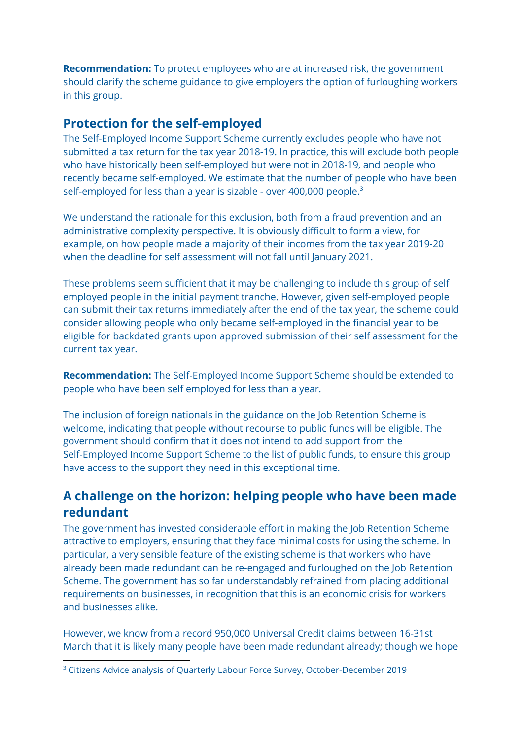**Recommendation:** To protect employees who are at increased risk, the government should clarify the scheme guidance to give employers the option of furloughing workers in this group.

### **Protection for the self-employed**

The Self-Employed Income Support Scheme currently excludes people who have not submitted a tax return for the tax year 2018-19. In practice, this will exclude both people who have historically been self-employed but were not in 2018-19, and people who recently became self-employed. We estimate that the number of people who have been self-employed for less than a year is sizable - over 400,000 people. $^3$ 

We understand the rationale for this exclusion, both from a fraud prevention and an administrative complexity perspective. It is obviously difficult to form a view, for example, on how people made a majority of their incomes from the tax year 2019-20 when the deadline for self assessment will not fall until January 2021.

These problems seem sufficient that it may be challenging to include this group of self employed people in the initial payment tranche. However, given self-employed people can submit their tax returns immediately after the end of the tax year, the scheme could consider allowing people who only became self-employed in the financial year to be eligible for backdated grants upon approved submission of their self assessment for the current tax year.

**Recommendation:** The Self-Employed Income Support Scheme should be extended to people who have been self employed for less than a year.

The inclusion of foreign nationals in the guidance on the Job Retention Scheme is welcome, indicating that people without recourse to public funds will be eligible. The government should confirm that it does not intend to add support from the Self-Employed Income Support Scheme to the list of public funds, to ensure this group have access to the support they need in this exceptional time.

## **A challenge on the horizon: helping people who have been made redundant**

The government has invested considerable effort in making the Job Retention Scheme attractive to employers, ensuring that they face minimal costs for using the scheme. In particular, a very sensible feature of the existing scheme is that workers who have already been made redundant can be re-engaged and furloughed on the Job Retention Scheme. The government has so far understandably refrained from placing additional requirements on businesses, in recognition that this is an economic crisis for workers and businesses alike.

However, we know from a record 950,000 Universal Credit claims between 16-31st March that it is likely many people have been made redundant already; though we hope

<sup>&</sup>lt;sup>3</sup> Citizens Advice analysis of Quarterly Labour Force Survey, October-December 2019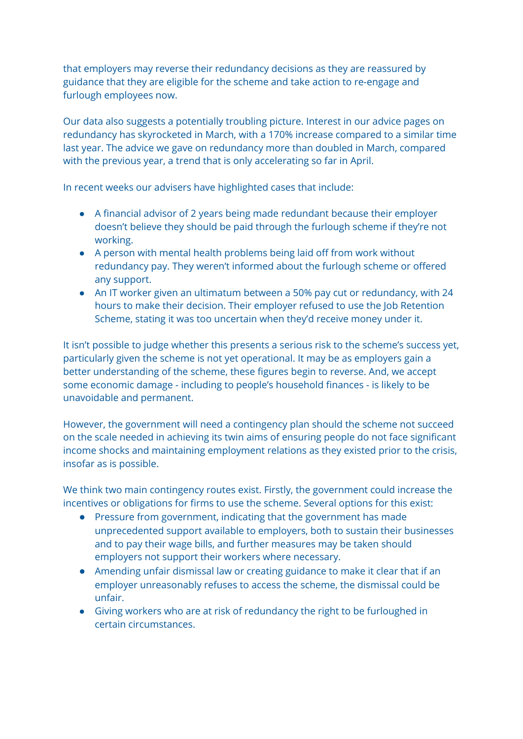that employers may reverse their redundancy decisions as they are reassured by guidance that they are eligible for the scheme and take action to re-engage and furlough employees now.

Our data also suggests a potentially troubling picture. Interest in our advice pages on redundancy has skyrocketed in March, with a 170% increase compared to a similar time last year. The advice we gave on redundancy more than doubled in March, compared with the previous year, a trend that is only accelerating so far in April.

In recent weeks our advisers have highlighted cases that include:

- A financial advisor of 2 years being made redundant because their employer doesn't believe they should be paid through the furlough scheme if they're not working.
- A person with mental health problems being laid off from work without redundancy pay. They weren't informed about the furlough scheme or offered any support.
- An IT worker given an ultimatum between a 50% pay cut or redundancy, with 24 hours to make their decision. Their employer refused to use the Job Retention Scheme, stating it was too uncertain when they'd receive money under it.

It isn't possible to judge whether this presents a serious risk to the scheme's success yet, particularly given the scheme is not yet operational. It may be as employers gain a better understanding of the scheme, these figures begin to reverse. And, we accept some economic damage - including to people's household finances - is likely to be unavoidable and permanent.

However, the government will need a contingency plan should the scheme not succeed on the scale needed in achieving its twin aims of ensuring people do not face significant income shocks and maintaining employment relations as they existed prior to the crisis, insofar as is possible.

We think two main contingency routes exist. Firstly, the government could increase the incentives or obligations for firms to use the scheme. Several options for this exist:

- Pressure from government, indicating that the government has made unprecedented support available to employers, both to sustain their businesses and to pay their wage bills, and further measures may be taken should employers not support their workers where necessary.
- Amending unfair dismissal law or creating guidance to make it clear that if an employer unreasonably refuses to access the scheme, the dismissal could be unfair.
- Giving workers who are at risk of redundancy the right to be furloughed in certain circumstances.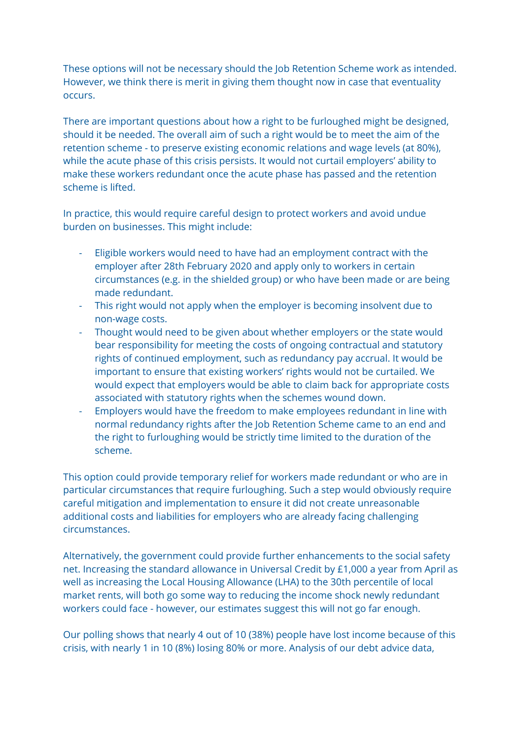These options will not be necessary should the Job Retention Scheme work as intended. However, we think there is merit in giving them thought now in case that eventuality occurs.

There are important questions about how a right to be furloughed might be designed, should it be needed. The overall aim of such a right would be to meet the aim of the retention scheme - to preserve existing economic relations and wage levels (at 80%), while the acute phase of this crisis persists. It would not curtail employers' ability to make these workers redundant once the acute phase has passed and the retention scheme is lifted.

In practice, this would require careful design to protect workers and avoid undue burden on businesses. This might include:

- Eligible workers would need to have had an employment contract with the employer after 28th February 2020 and apply only to workers in certain circumstances (e.g. in the shielded group) or who have been made or are being made redundant.
- This right would not apply when the employer is becoming insolvent due to non-wage costs.
- Thought would need to be given about whether employers or the state would bear responsibility for meeting the costs of ongoing contractual and statutory rights of continued employment, such as redundancy pay accrual. It would be important to ensure that existing workers' rights would not be curtailed. We would expect that employers would be able to claim back for appropriate costs associated with statutory rights when the schemes wound down.
- Employers would have the freedom to make employees redundant in line with normal redundancy rights after the Job Retention Scheme came to an end and the right to furloughing would be strictly time limited to the duration of the scheme.

This option could provide temporary relief for workers made redundant or who are in particular circumstances that require furloughing. Such a step would obviously require careful mitigation and implementation to ensure it did not create unreasonable additional costs and liabilities for employers who are already facing challenging circumstances.

Alternatively, the government could provide further enhancements to the social safety net. Increasing the standard allowance in Universal Credit by £1,000 a year from April as well as increasing the Local Housing Allowance (LHA) to the 30th percentile of local market rents, will both go some way to reducing the income shock newly redundant workers could face - however, our estimates suggest this will not go far enough.

Our polling shows that nearly 4 out of 10 (38%) people have lost income because of this crisis, with nearly 1 in 10 (8%) losing 80% or more. Analysis of our debt advice data,